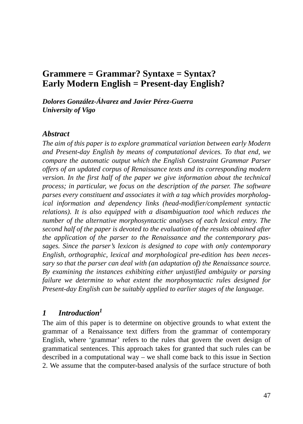# **Grammere = Grammar? Syntaxe = Syntax? Early Modern English = Present-day English?**

*Dolores González-Álvarez and Javier Pérez-Guerra University of Vigo*

#### *Abstract*

*The aim of this paper is to explore grammatical variation between early Modern and Present-day English by means of computational devices. To that end, we compare the automatic output which the English Constraint Grammar Parser offers of an updated corpus of Renaissance texts and its corresponding modern version. In the first half of the paper we give information about the technical process; in particular, we focus on the description of the parser. The software parses every constituent and associates it with a tag which provides morphological information and dependency links (head-modifier/complement syntactic relations). It is also equipped with a disambiguation tool which reduces the number of the alternative morphosyntactic analyses of each lexical entry. The second half of the paper is devoted to the evaluation of the results obtained after the application of the parser to the Renaissance and the contemporary passages. Since the parser's lexicon is designed to cope with only contemporary English, orthographic, lexical and morphological pre-edition has been necessary so that the parser can deal with (an adaptation of) the Renaissance source. By examining the instances exhibiting either unjustified ambiguity or parsing failure we determine to what extent the morphosyntactic rules designed for Present-day English can be suitably applied to earlier stages of the language.*

### *1 Introduction<sup>1</sup>*

The aim of this paper is to determine on objective grounds to what extent the grammar of a Renaissance text differs from the grammar of contemporary English, where 'grammar' refers to the rules that govern the overt design of grammatical sentences. This approach takes for granted that such rules can be described in a computational way – we shall come back to this issue in Section 2. We assume that the computer-based analysis of the surface structure of both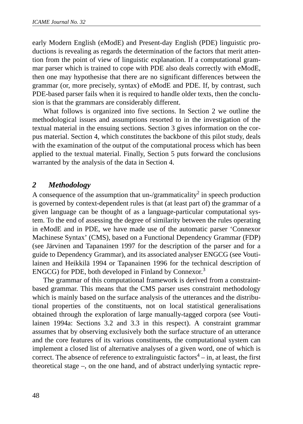early Modern English (eModE) and Present-day English (PDE) linguistic productions is revealing as regards the determination of the factors that merit attention from the point of view of linguistic explanation. If a computational grammar parser which is trained to cope with PDE also deals correctly with eModE, then one may hypothesise that there are no significant differences between the grammar (or, more precisely, syntax) of eModE and PDE. If, by contrast, such PDE-based parser fails when it is required to handle older texts, then the conclusion is that the grammars are considerably different.

What follows is organized into five sections. In Section 2 we outline the methodological issues and assumptions resorted to in the investigation of the textual material in the ensuing sections. Section 3 gives information on the corpus material. Section 4, which constitutes the backbone of this pilot study, deals with the examination of the output of the computational process which has been applied to the textual material. Finally, Section 5 puts forward the conclusions warranted by the analysis of the data in Section 4.

### *2 Methodology*

A consequence of the assumption that un-/grammaticality<sup>2</sup> in speech production is governed by context-dependent rules is that (at least part of) the grammar of a given language can be thought of as a language-particular computational system. To the end of assessing the degree of similarity between the rules operating in eModE and in PDE, we have made use of the automatic parser 'Connexor Machinese Syntax' (CMS), based on a Functional Dependency Grammar (FDP) (see Järvinen and Tapanainen 1997 for the description of the parser and for a guide to Dependency Grammar), and its associated analyser ENGCG (see Voutilainen and Heikkilä 1994 or Tapanainen 1996 for the technical description of ENGCG) for PDE, both developed in Finland by Connexor.<sup>3</sup>

The grammar of this computational framework is derived from a constraintbased grammar. This means that the CMS parser uses constraint methodology which is mainly based on the surface analysis of the utterances and the distributional properties of the constituents, not on local statistical generalisations obtained through the exploration of large manually-tagged corpora (see Voutilainen 1994a: Sections 3.2 and 3.3 in this respect). A constraint grammar assumes that by observing exclusively both the surface structure of an utterance and the core features of its various constituents, the computational system can implement a closed list of alternative analyses of a given word, one of which is correct. The absence of reference to extralinguistic factors<sup>4</sup> – in, at least, the first theoretical stage –, on the one hand, and of abstract underlying syntactic repre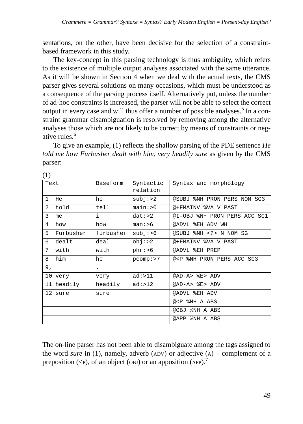sentations, on the other, have been decisive for the selection of a constraintbased framework in this study.

The key-concept in this parsing technology is thus ambiguity, which refers to the existence of multiple output analyses associated with the same utterance. As it will be shown in Section 4 when we deal with the actual texts, the CMS parser gives several solutions on many occasions, which must be understood as a consequence of the parsing process itself. Alternatively put, unless the number of ad-hoc constraints is increased, the parser will not be able to select the correct output in every case and will thus offer a number of possible analyses.<sup>5</sup> In a constraint grammar disambiguation is resolved by removing among the alternative analyses those which are not likely to be correct by means of constraints or negative rules.<sup>6</sup>

To give an example, (1) reflects the shallow parsing of the PDE sentence *He told me how Furbusher dealt with him, very headily sure* as given by the CMS parser:

| ( I J          |            |              |                       |                                                       |
|----------------|------------|--------------|-----------------------|-------------------------------------------------------|
| Text           |            | Baseform     | Syntactic<br>relation | Syntax and morphology                                 |
| $\mathbf{1}$   | He.        | he           | subj: >2              | @SUBJ %NH PRON PERS NOM SG3                           |
| $\overline{a}$ | told       | tell         | main: >0              | @+FMAINV %VA V PAST                                   |
| 3              | me.        | i.           | $dat:$ > 2            | @I-OBJ %NH PRON PERS ACC SG1                          |
| 4              | how        | how          | man: <sub>6</sub>     | @ADVL %EH ADV WH                                      |
| 5              | Furbusher  | furbusher    | subi: >6              | @SUBJ %NH N NOM SG                                    |
| 6              | dealt      | deal         | obj: >2               | @+FMAINV %VA V PAST                                   |
| 7              | with       | with         | $phr:$ >6             | @ADVL %EH PREP                                        |
| 8              | him        | he           | pcomp: >7             | @ <p %nh="" acc="" pers="" pron="" sg3<="" td=""></p> |
| 9,             |            | $\mathbf{r}$ |                       |                                                       |
|                | 10 very    | very         | ad: >11               | @AD-A> %E> ADV                                        |
|                | 11 headily | headily      | ad: >12               | @AD-A> %E> ADV                                        |
|                | 12 sure    | sure         |                       | @ADVL %EH ADV                                         |
|                |            |              |                       | @ <p %nh="" a="" abs<="" td=""></p>                   |
|                |            |              |                       | @OBJ %NH A ABS                                        |
|                |            |              |                       | @APP %NH A ABS                                        |

 $(1)$ 

The on-line parser has not been able to disambiguate among the tags assigned to the word *sure* in (1), namely, adverb (ADV) or adjective  $(A)$  – complement of a preposition  $(\leq P)$ , of an object (OBJ) or an apposition (APP).<sup>7</sup>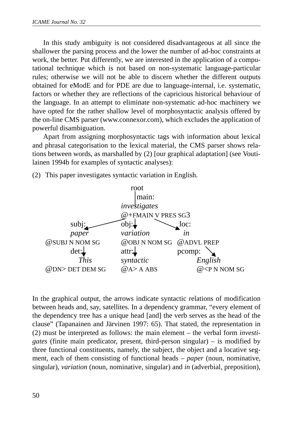In this study ambiguity is not considered disadvantageous at all since the shallower the parsing process and the lower the number of ad-hoc constraints at work, the better. Put differently, we are interested in the application of a computational technique which is not based on non-systematic language-particular rules; otherwise we will not be able to discern whether the different outputs obtained for eModE and for PDE are due to language-internal, i.e. systematic, factors or whether they are reflections of the capricious historical behaviour of the language. In an attempt to eliminate non-systematic ad-hoc machinery we have opted for the rather shallow level of morphosyntactic analysis offered by the on-line CMS parser (www.connexor.com), which excludes the application of powerful disambiguation.

Apart from assigning morphosyntactic tags with information about lexical and phrasal categorisation to the lexical material, the CMS parser shows relations between words, as marshalled by (2) [our graphical adaptation] (see Voutilainen 1994b for examples of syntactic analyses):

(2) This paper investigates syntactic variation in English.



In the graphical output, the arrows indicate syntactic relations of modification between heads and, say, satellites. In a dependency grammar, "every element of the dependency tree has a unique head [and] the verb serves as the head of the clause" (Tapanainen and Järvinen 1997: 65). That stated, the representation in (2) must be interpreted as follows: the main element – the verbal form *investigates* (finite main predicator, present, third-person singular) – is modified by three functional constituents, namely, the subject, the object and a locative segment, each of them consisting of functional heads – *paper* (noun, nominative, singular), *variation* (noun, nominative, singular) and *in* (adverbial, preposition),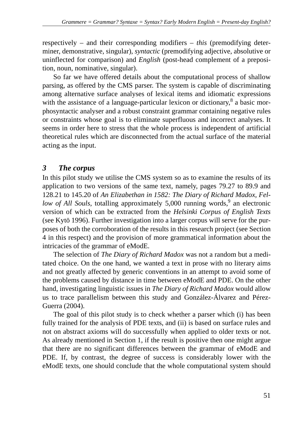respectively – and their corresponding modifiers – *this* (premodifying determiner, demonstrative, singular), *syntactic* (premodifying adjective, absolutive or uninflected for comparison) and *English* (post-head complement of a preposition, noun, nominative, singular).

So far we have offered details about the computational process of shallow parsing, as offered by the CMS parser. The system is capable of discriminating among alternative surface analyses of lexical items and idiomatic expressions with the assistance of a language-particular lexicon or dictionary, $8$  a basic morphosyntactic analyser and a robust constraint grammar containing negative rules or constraints whose goal is to eliminate superfluous and incorrect analyses. It seems in order here to stress that the whole process is independent of artificial theoretical rules which are disconnected from the actual surface of the material acting as the input.

# *3 The corpus*

In this pilot study we utilise the CMS system so as to examine the results of its application to two versions of the same text, namely, pages 79.27 to 89.9 and 128.21 to 145.20 of *An Elizabethan in 1582: The Diary of Richard Madox, Fel*low of All Souls, totalling approximately 5,000 running words,<sup>9</sup> an electronic version of which can be extracted from the *Helsinki Corpus of English Texts* (see Kytö 1996). Further investigation into a larger corpus will serve for the purposes of both the corroboration of the results in this research project (see Section 4 in this respect) and the provision of more grammatical information about the intricacies of the grammar of eModE.

The selection of *The Diary of Richard Madox* was not a random but a meditated choice. On the one hand, we wanted a text in prose with no literary aims and not greatly affected by generic conventions in an attempt to avoid some of the problems caused by distance in time between eModE and PDE. On the other hand, investigating linguistic issues in *The Diary of Richard Madox* would allow us to trace parallelism between this study and González-Álvarez and Pérez-Guerra (2004).

The goal of this pilot study is to check whether a parser which (i) has been fully trained for the analysis of PDE texts, and (ii) is based on surface rules and not on abstract axioms will do successfully when applied to older texts or not. As already mentioned in Section 1, if the result is positive then one might argue that there are no significant differences between the grammar of eModE and PDE. If, by contrast, the degree of success is considerably lower with the eModE texts, one should conclude that the whole computational system should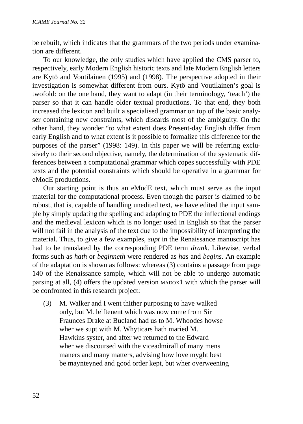be rebuilt, which indicates that the grammars of the two periods under examination are different.

To our knowledge, the only studies which have applied the CMS parser to, respectively, early Modern English historic texts and late Modern English letters are Kytö and Voutilainen (1995) and (1998). The perspective adopted in their investigation is somewhat different from ours. Kytö and Voutilainen's goal is twofold: on the one hand, they want to adapt (in their terminology, 'teach') the parser so that it can handle older textual productions. To that end, they both increased the lexicon and built a specialised grammar on top of the basic analyser containing new constraints, which discards most of the ambiguity. On the other hand, they wonder "to what extent does Present-day English differ from early English and to what extent is it possible to formalize this difference for the purposes of the parser" (1998: 149). In this paper we will be referring exclusively to their second objective, namely, the determination of the systematic differences between a computational grammar which copes successfully with PDE texts and the potential constraints which should be operative in a grammar for eModE productions.

Our starting point is thus an eModE text, which must serve as the input material for the computational process. Even though the parser is claimed to be robust, that is, capable of handling unedited text, we have edited the input sample by simply updating the spelling and adapting to PDE the inflectional endings and the medieval lexicon which is no longer used in English so that the parser will not fail in the analysis of the text due to the impossibility of interpreting the material. Thus, to give a few examples, *supt* in the Renaissance manuscript has had to be translated by the corresponding PDE term *drank*. Likewise, verbal forms such as *hath* or *beginneth* were rendered as *has* and *begins*. An example of the adaptation is shown as follows: whereas (3) contains a passage from page 140 of the Renaissance sample, which will not be able to undergo automatic parsing at all, (4) offers the updated version MADOX1 with which the parser will be confronted in this research project:

(3) M. Walker and I went thither purposing to have walked only, but M. leiftenent which was now come from Sir Fraunces Drake at Bucland had us to M. Whoodes howse wher we supt with M. Whyticars hath maried M. Hawkins syster, and after we returned to the Edward wher we discoursed with the viceadmirall of many mens maners and many matters, advising how love myght best be maynteyned and good order kept, but wher overweening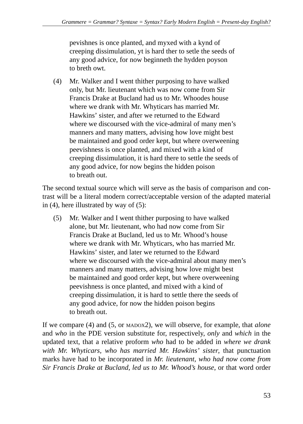pevishnes is once planted, and myxed with a kynd of creeping dissimulation, yt is hard ther to setle the seeds of any good advice, for now beginneth the hydden poyson to breth owt.

(4) Mr. Walker and I went thither purposing to have walked only, but Mr. lieutenant which was now come from Sir Francis Drake at Bucland had us to Mr. Whoodes house where we drank with Mr. Whyticars has married Mr. Hawkins' sister, and after we returned to the Edward where we discoursed with the vice-admiral of many men's manners and many matters, advising how love might best be maintained and good order kept, but where overweening peevishness is once planted, and mixed with a kind of creeping dissimulation, it is hard there to settle the seeds of any good advice, for now begins the hidden poison to breath out.

The second textual source which will serve as the basis of comparison and contrast will be a literal modern correct/acceptable version of the adapted material in (4), here illustrated by way of (5):

(5) Mr. Walker and I went thither purposing to have walked alone, but Mr. lieutenant, who had now come from Sir Francis Drake at Bucland, led us to Mr. Whood's house where we drank with Mr. Whyticars, who has married Mr. Hawkins' sister, and later we returned to the Edward where we discoursed with the vice-admiral about many men's manners and many matters, advising how love might best be maintained and good order kept, but where overweening peevishness is once planted, and mixed with a kind of creeping dissimulation, it is hard to settle there the seeds of any good advice, for now the hidden poison begins to breath out.

If we compare (4) and (5, or MADOX2), we will observe, for example, that *alone* and *who* in the PDE version substitute for, respectively, *only* and *which* in the updated text, that a relative proform *who* had to be added in *where we drank with Mr. Whyticars, who has married Mr. Hawkins' sister*, that punctuation marks have had to be incorporated in *Mr. lieutenant, who had now come from Sir Francis Drake at Bucland, led us to Mr. Whood's house*, or that word order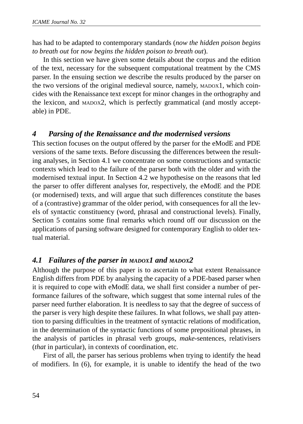has had to be adapted to contemporary standards (*now the hidden poison begins to breath out* for *now begins the hidden poison to breath out*).

In this section we have given some details about the corpus and the edition of the text, necessary for the subsequent computational treatment by the CMS parser. In the ensuing section we describe the results produced by the parser on the two versions of the original medieval source, namely, MADOX1, which coincides with the Renaissance text except for minor changes in the orthography and the lexicon, and MADOX2, which is perfectly grammatical (and mostly acceptable) in PDE.

### *4 Parsing of the Renaissance and the modernised versions*

This section focuses on the output offered by the parser for the eModE and PDE versions of the same texts. Before discussing the differences between the resulting analyses, in Section 4.1 we concentrate on some constructions and syntactic contexts which lead to the failure of the parser both with the older and with the modernised textual input. In Section 4.2 we hypothesise on the reasons that led the parser to offer different analyses for, respectively, the eModE and the PDE (or modernised) texts, and will argue that such differences constitute the bases of a (contrastive) grammar of the older period, with consequences for all the levels of syntactic constituency (word, phrasal and constructional levels). Finally, Section 5 contains some final remarks which round off our discussion on the applications of parsing software designed for contemporary English to older textual material.

## *4.1 Failures of the parser in MADOX1 and MADOX2*

Although the purpose of this paper is to ascertain to what extent Renaissance English differs from PDE by analysing the capacity of a PDE-based parser when it is required to cope with eModE data, we shall first consider a number of performance failures of the software, which suggest that some internal rules of the parser need further elaboration. It is needless to say that the degree of success of the parser is very high despite these failures. In what follows, we shall pay attention to parsing difficulties in the treatment of syntactic relations of modification, in the determination of the syntactic functions of some prepositional phrases, in the analysis of particles in phrasal verb groups, *make*-sentences, relativisers (*that* in particular), in contexts of coordination, etc.

First of all, the parser has serious problems when trying to identify the head of modifiers. In (6), for example, it is unable to identify the head of the two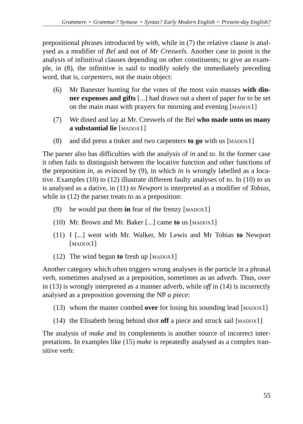prepositional phrases introduced by *with*, while in (7) the relative clause is analysed as a modifier of *Bel* and not of *Mr Creswels*. Another case in point is the analysis of infinitival clauses depending on other constituents; to give an example, in (8), the infinitive is said to modify solely the immediately preceding word, that is, *carpenters*, not the main object:

- (6) Mr Banester hunting for the votes of the most vain masses **with dinner expenses and gifts** [...] had drawn out a sheet of paper for to be set on the main mast with prayers for morning and evening [MADOX1]
- (7) We dined and lay at Mr. Creswels of the Bel **who made unto us many a substantial lie** [MADOX1]
- (8) and did press a tinker and two carpenters **to go** with us [MADOX1]

The parser also has difficulties with the analysis of *in* and *to*. In the former case it often fails to distinguish between the locative function and other functions of the preposition *in*, as evinced by (9), in which *in* is wrongly labelled as a locative. Examples (10) to (12) illustrate different faulty analyses of *to*. In (10) *to us* is analysed as a dative, in (11) *to Newport* is interpreted as a modifier of *Tobias*, while in (12) the parser treats *to* as a preposition:

- (9) he would put them **in** fear of the frenzy [MADOX1]
- (10) Mr. Brown and Mr. Baker [...] came **to** us [MADOX1]
- (11) I [...] went with Mr. Walker, Mr Lewis and Mr Tobias **to** Newport [MADOX<sub>1]</sub>
- (12) The wind began **to** fresh up [MADOX1]

Another category which often triggers wrong analyses is the particle in a phrasal verb, sometimes analysed as a preposition, sometimes as an adverb. Thus, *over* in (13) is wrongly interpreted as a manner adverb, while *off* in (14) is incorrectly analysed as a preposition governing the NP *a piece*:

- (13) whom the master combed **over** for losing his sounding lead [MADOX1]
- (14) the Elisabeth being behind shot **off** a piece and struck sail [MADOX1]

The analysis of *make* and its complements is another source of incorrect interpretations. In examples like (15) *make* is repeatedly analysed as a complex transitive verb: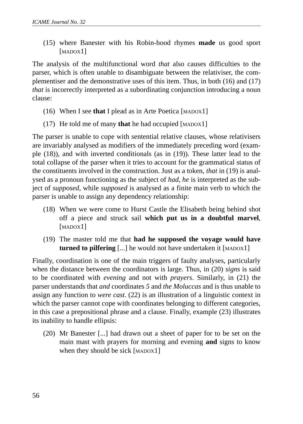(15) where Banester with his Robin-hood rhymes **made** us good sport [MADOX<sub>1]</sub>

The analysis of the multifunctional word *that* also causes difficulties to the parser, which is often unable to disambiguate between the relativiser, the complementiser and the demonstrative uses of this item. Thus, in both (16) and (17) *that* is incorrectly interpreted as a subordinating conjunction introducing a noun clause:

- (16) When I see **that** I plead as in Arte Poetica [MADOX1]
- (17) He told me of many **that** he had occupied [MADOX1]

The parser is unable to cope with sentential relative clauses, whose relativisers are invariably analysed as modifiers of the immediately preceding word (example (18)), and with inverted conditionals (as in (19)). These latter lead to the total collapse of the parser when it tries to account for the grammatical status of the constituents involved in the construction. Just as a token, *that* in (19) is analysed as a pronoun functioning as the subject of *had*, *he* is interpreted as the subject of *supposed*, while *supposed* is analysed as a finite main verb to which the parser is unable to assign any dependency relationship:

- (18) When we were come to Hurst Castle the Elisabeth being behind shot off a piece and struck sail **which put us in a doubtful marvel**, [MADOX1]
- (19) The master told me that **had he supposed the voyage would have turned to pilfering** [...] he would not have undertaken it [MADOX1]

Finally, coordination is one of the main triggers of faulty analyses, particularly when the distance between the coordinators is large. Thus, in (20) *signs* is said to be coordinated with *evening* and not with *prayers*. Similarly, in (21) the parser understands that *and* coordinates *5* and *the Moluccas* and is thus unable to assign any function to *were cast*. (22) is an illustration of a linguistic context in which the parser cannot cope with coordinates belonging to different categories, in this case a prepositional phrase and a clause. Finally, example (23) illustrates its inability to handle ellipsis:

(20) Mr Banester [...] had drawn out a sheet of paper for to be set on the main mast with prayers for morning and evening **and** signs to know when they should be sick [MADOX1]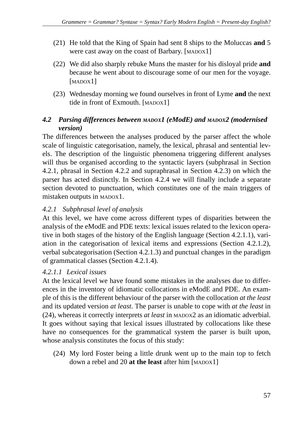- (21) He told that the King of Spain had sent 8 ships to the Moluccas **and** 5 were cast away on the coast of Barbary. [MADOX1]
- (22) We did also sharply rebuke Muns the master for his disloyal pride **and** because he went about to discourage some of our men for the voyage. [MADOX<sub>1]</sub>
- (23) Wednesday morning we found ourselves in front of Lyme **and** the next tide in front of Exmouth. [MADOX1]

## *4.2 Parsing differences between MADOX1 (eModE) and MADOX2 (modernised version)*

The differences between the analyses produced by the parser affect the whole scale of linguistic categorisation, namely, the lexical, phrasal and sentential levels. The description of the linguistic phenomena triggering different analyses will thus be organised according to the syntactic layers (subphrasal in Section 4.2.1, phrasal in Section 4.2.2 and supraphrasal in Section 4.2.3) on which the parser has acted distinctly. In Section 4.2.4 we will finally include a separate section devoted to punctuation, which constitutes one of the main triggers of mistaken outputs in MADOX1.

## *4.2.1 Subphrasal level of analysis*

At this level, we have come across different types of disparities between the analysis of the eModE and PDE texts: lexical issues related to the lexicon operative in both stages of the history of the English language (Section 4.2.1.1), variation in the categorisation of lexical items and expressions (Section 4.2.1.2), verbal subcategorisation (Section 4.2.1.3) and punctual changes in the paradigm of grammatical classes (Section 4.2.1.4).

## *4.2.1.1 Lexical issues*

At the lexical level we have found some mistakes in the analyses due to differences in the inventory of idiomatic collocations in eModE and PDE. An example of this is the different behaviour of the parser with the collocation *at the least* and its updated version *at least*. The parser is unable to cope with *at the least* in (24), whereas it correctly interprets *at least* in MADOX2 as an idiomatic adverbial. It goes without saying that lexical issues illustrated by collocations like these have no consequences for the grammatical system the parser is built upon, whose analysis constitutes the focus of this study:

(24) My lord Foster being a little drunk went up to the main top to fetch down a rebel and 20 **at the least** after him [MADOX1]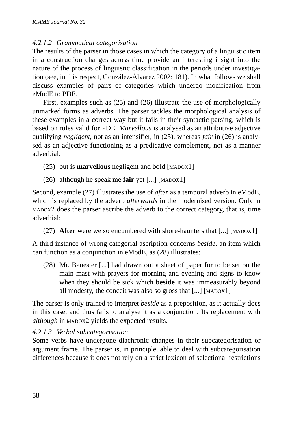### *4.2.1.2 Grammatical categorisation*

The results of the parser in those cases in which the category of a linguistic item in a construction changes across time provide an interesting insight into the nature of the process of linguistic classification in the periods under investigation (see, in this respect, González-Álvarez 2002: 181). In what follows we shall discuss examples of pairs of categories which undergo modification from eModE to PDE.

First, examples such as (25) and (26) illustrate the use of morphologically unmarked forms as adverbs. The parser tackles the morphological analysis of these examples in a correct way but it fails in their syntactic parsing, which is based on rules valid for PDE. *Marvellous* is analysed as an attributive adjective qualifying *negligent*, not as an intensifier, in (25), whereas *fair* in (26) is analysed as an adjective functioning as a predicative complement, not as a manner adverbial:

- (25) but is **marvellous** negligent and bold [MADOX1]
- (26) although he speak me **fair** yet [...] [MADOX1]

Second, example (27) illustrates the use of *after* as a temporal adverb in eModE, which is replaced by the adverb *afterwards* in the modernised version. Only in MADOX2 does the parser ascribe the adverb to the correct category, that is, time adverbial:

(27) **After** were we so encumbered with shore-haunters that [...] [MADOX1]

A third instance of wrong categorial ascription concerns *beside*, an item which can function as a conjunction in eModE, as (28) illustrates:

(28) Mr. Banester [...] had drawn out a sheet of paper for to be set on the main mast with prayers for morning and evening and signs to know when they should be sick which **beside** it was immeasurably beyond all modesty, the conceit was also so gross that [...] [MADOX1]

The parser is only trained to interpret *beside* as a preposition, as it actually does in this case, and thus fails to analyse it as a conjunction. Its replacement with *although* in MADOX2 yields the expected results.

#### *4.2.1.3 Verbal subcategorisation*

Some verbs have undergone diachronic changes in their subcategorisation or argument frame. The parser is, in principle, able to deal with subcategorisation differences because it does not rely on a strict lexicon of selectional restrictions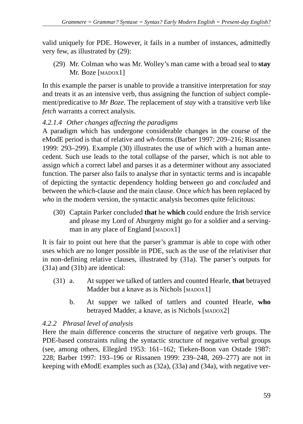valid uniquely for PDE. However, it fails in a number of instances, admittedly very few, as illustrated by (29):

(29) Mr. Colman who was Mr. Wolley's man came with a broad seal to **stay** Mr. Boze [MADOX1]

In this example the parser is unable to provide a transitive interpretation for *stay* and treats it as an intensive verb, thus assigning the function of subject complement/predicative to *Mr Boze*. The replacement of *stay* with a transitive verb like *fetch* warrants a correct analysis.

## *4.2.1.4 Other changes affecting the paradigms*

A paradigm which has undergone considerable changes in the course of the eModE period is that of relative and *wh-*forms (Barber 1997: 209–216; Rissanen 1999: 293–299). Example (30) illustrates the use of *which* with a human antecedent. Such use leads to the total collapse of the parser, which is not able to assign *which* a correct label and parses it as a determiner without any associated function. The parser also fails to analyse *that* in syntactic terms and is incapable of depicting the syntactic dependency holding between *go* and *concluded* and between the *which*-clause and the main clause. Once *which* has been replaced by *who* in the modern version, the syntactic analysis becomes quite felicitous:

(30) Captain Parker concluded **that** he **which** could endure the Irish service and please my Lord of Aburgeny might go for a soldier and a servingman in any place of England [MADOX1]

It is fair to point out here that the parser's grammar is able to cope with other uses which are no longer possible in PDE, such as the use of the relativiser *that* in non-defining relative clauses, illustrated by (31a). The parser's outputs for (31a) and (31b) are identical:

- (31) a. At supper we talked of tattlers and counted Hearle, **that** betrayed Madder but a knave as is Nichols [MADOX1]
	- b. At supper we talked of tattlers and counted Hearle, **who** betrayed Madder, a knave, as is Nichols [MADOX2]

## *4.2.2 Phrasal level of analysis*

Here the main difference concerns the structure of negative verb groups. The PDE-based constraints ruling the syntactic structure of negative verbal groups (see, among others, Ellegård 1953: 161–162; Tieken-Boon van Ostade 1987: 228; Barber 1997: 193–196 or Rissanen 1999: 239–248, 269–277) are not in keeping with eModE examples such as (32a), (33a) and (34a), with negative ver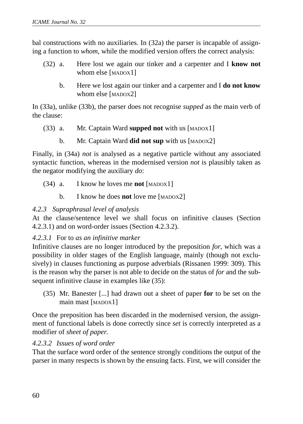bal constructions with no auxiliaries. In (32a) the parser is incapable of assigning a function to *whom*, while the modified version offers the correct analysis:

- (32) a. Here lost we again our tinker and a carpenter and I **know not** whom else [MADOX1]
	- b. Here we lost again our tinker and a carpenter and I **do not know** whom else [MADOX2]

In (33a), unlike (33b), the parser does not recognise *supped* as the main verb of the clause:

- (33) a. Mr. Captain Ward **supped not** with us [MADOX1]
	- b. Mr. Captain Ward **did not sup** with us [MADOX2]

Finally, in (34a) *not* is analysed as a negative particle without any associated syntactic function, whereas in the modernised version *not* is plausibly taken as the negator modifying the auxiliary *do*:

- (34) a. I know he loves me **not** [MADOX1]
	- b. I know he does **not** love me [MADOX2]

### *4.2.3 Supraphrasal level of analysis*

At the clause/sentence level we shall focus on infinitive clauses (Section 4.2.3.1) and on word-order issues (Section 4.2.3.2).

### *4.2.3.1* For to *as an infinitive marker*

Infinitive clauses are no longer introduced by the preposition *for*, which was a possibility in older stages of the English language, mainly (though not exclusively) in clauses functioning as purpose adverbials (Rissanen 1999: 309). This is the reason why the parser is not able to decide on the status of *for* and the subsequent infinitive clause in examples like (35):

(35) Mr. Banester [...] had drawn out a sheet of paper **for** to be set on the main mast [MADOX1]

Once the preposition has been discarded in the modernised version, the assignment of functional labels is done correctly since *set* is correctly interpreted as a modifier of *sheet of paper*.

### *4.2.3.2 Issues of word order*

That the surface word order of the sentence strongly conditions the output of the parser in many respects is shown by the ensuing facts. First, we will consider the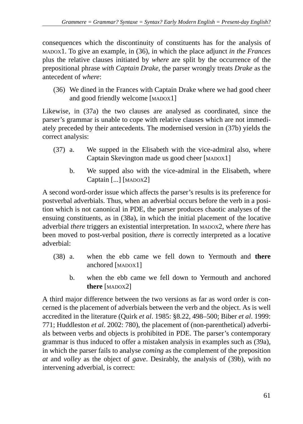consequences which the discontinuity of constituents has for the analysis of MADOX1. To give an example, in (36), in which the place adjunct *in the Frances* plus the relative clauses initiated by *where* are split by the occurrence of the prepositional phrase *with Captain Drake*, the parser wrongly treats *Drake* as the antecedent of *where*:

(36) We dined in the Frances with Captain Drake where we had good cheer and good friendly welcome [MADOX1]

Likewise, in (37a) the two clauses are analysed as coordinated, since the parser's grammar is unable to cope with relative clauses which are not immediately preceded by their antecedents. The modernised version in (37b) yields the correct analysis:

- (37) a. We supped in the Elisabeth with the vice-admiral also, where Captain Skevington made us good cheer [MADOX1]
	- b. We supped also with the vice-admiral in the Elisabeth, where Captain [...] [MADOX2]

A second word-order issue which affects the parser's results is its preference for postverbal adverbials. Thus, when an adverbial occurs before the verb in a position which is not canonical in PDE, the parser produces chaotic analyses of the ensuing constituents, as in (38a), in which the initial placement of the locative adverbial *there* triggers an existential interpretation. In MADOX2, where *there* has been moved to post-verbal position, *there* is correctly interpreted as a locative adverbial:

- (38) a. when the ebb came we fell down to Yermouth and **there** anchored [MADOX1]
	- b. when the ebb came we fell down to Yermouth and anchored **there** [MADOX2]

A third major difference between the two versions as far as word order is concerned is the placement of adverbials between the verb and the object. As is well accredited in the literature (Quirk *et al*. 1985: §8.22, 498–500; Biber *et al*. 1999: 771; Huddleston *et al*. 2002: 780), the placement of (non-parenthetical) adverbials between verbs and objects is prohibited in PDE. The parser's contemporary grammar is thus induced to offer a mistaken analysis in examples such as (39a), in which the parser fails to analyse *coming* as the complement of the preposition *at* and *volley* as the object of *gave*. Desirably, the analysis of (39b), with no intervening adverbial, is correct: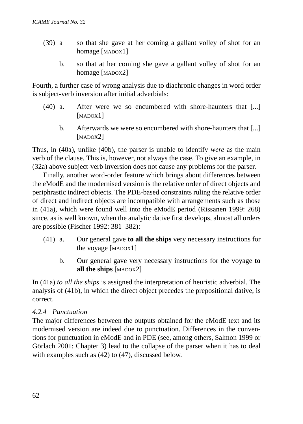- (39) a so that she gave at her coming a gallant volley of shot for an homage [MADOX1]
	- b. so that at her coming she gave a gallant volley of shot for an homage [MADOX2]

Fourth, a further case of wrong analysis due to diachronic changes in word order is subject-verb inversion after initial adverbials:

- (40) a. After were we so encumbered with shore-haunters that [...] [MADOX<sub>1]</sub>
	- b. Afterwards we were so encumbered with shore-haunters that [...] [MADOX2]

Thus, in (40a), unlike (40b), the parser is unable to identify *were* as the main verb of the clause. This is, however, not always the case. To give an example, in (32a) above subject-verb inversion does not cause any problems for the parser.

Finally, another word-order feature which brings about differences between the eModE and the modernised version is the relative order of direct objects and periphrastic indirect objects. The PDE-based constraints ruling the relative order of direct and indirect objects are incompatible with arrangements such as those in (41a), which were found well into the eModE period (Rissanen 1999: 268) since, as is well known, when the analytic dative first develops, almost all orders are possible (Fischer 1992: 381–382):

- (41) a. Our general gave **to all the ships** very necessary instructions for the voyage [MADOX1]
	- b. Our general gave very necessary instructions for the voyage **to all the ships** [MADOX2]

In (41a) *to all the ships* is assigned the interpretation of heuristic adverbial. The analysis of (41b), in which the direct object precedes the prepositional dative, is correct.

### *4.2.4 Punctuation*

The major differences between the outputs obtained for the eModE text and its modernised version are indeed due to punctuation. Differences in the conventions for punctuation in eModE and in PDE (see, among others, Salmon 1999 or Görlach 2001: Chapter 3) lead to the collapse of the parser when it has to deal with examples such as (42) to (47), discussed below.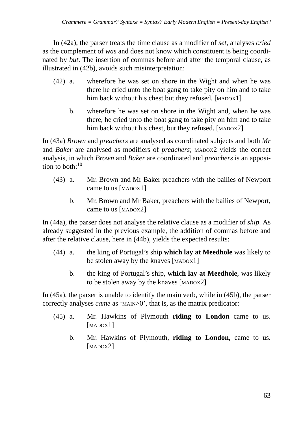In (42a), the parser treats the time clause as a modifier of *set*, analyses *cried* as the complement of *was* and does not know which constituent is being coordinated by *but*. The insertion of commas before and after the temporal clause, as illustrated in (42b), avoids such misinterpretation:

- (42) a. wherefore he was set on shore in the Wight and when he was there he cried unto the boat gang to take pity on him and to take him back without his chest but they refused. [MADOX1]
	- b. wherefore he was set on shore in the Wight and, when he was there, he cried unto the boat gang to take pity on him and to take him back without his chest, but they refused. [MADOX2]

In (43a) *Brown* and *preachers* are analysed as coordinated subjects and both *Mr* and *Baker* are analysed as modifiers of *preachers*; MADOX2 yields the correct analysis, in which *Brown* and *Baker* are coordinated and *preachers* is an apposition to both: $10$ 

- (43) a. Mr. Brown and Mr Baker preachers with the bailies of Newport came to us [MADOX1]
	- b. Mr. Brown and Mr Baker, preachers with the bailies of Newport, came to us [MADOX2]

In (44a), the parser does not analyse the relative clause as a modifier of *ship*. As already suggested in the previous example, the addition of commas before and after the relative clause, here in (44b), yields the expected results:

- (44) a. the king of Portugal's ship **which lay at Meedhole** was likely to be stolen away by the knaves [MADOX1]
	- b. the king of Portugal's ship, **which lay at Meedhole**, was likely to be stolen away by the knaves [MADOX2]

In (45a), the parser is unable to identify the main verb, while in (45b), the parser correctly analyses *came* as 'MAIN>0', that is, as the matrix predicator:

- (45) a. Mr. Hawkins of Plymouth **riding to London** came to us. [MADOX<sup>1</sup>]
	- b. Mr. Hawkins of Plymouth, **riding to London**, came to us. [MADOX2]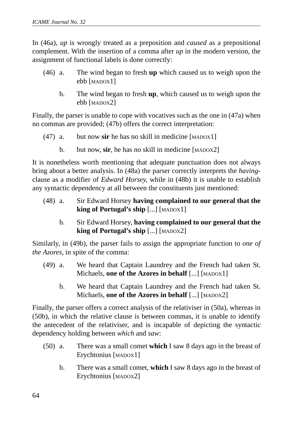In (46a), *up* is wrongly treated as a preposition and *caused* as a prepositional complement. With the insertion of a comma after *up* in the modern version, the assignment of functional labels is done correctly:

- (46) a. The wind began to fresh **up** which caused us to weigh upon the ebb [MADOX1]
	- b. The wind began to fresh **up**, which caused us to weigh upon the ebb [MADOX2]

Finally, the parser is unable to cope with vocatives such as the one in (47a) when no commas are provided; (47b) offers the correct interpretation:

- (47) a. but now **sir** he has no skill in medicine [MADOX1]
	- b. but now, sir, he has no skill in medicine [MADOX2]

It is nonetheless worth mentioning that adequate punctuation does not always bring about a better analysis. In (48a) the parser correctly interprets the *having*clause as a modifier of *Edward Horsey*, while in (48b) it is unable to establish any syntactic dependency at all between the constituents just mentioned:

- (48) a. Sir Edward Horsey **having complained to our general that the king of Portugal's ship** [...] [MADOX1]
	- b. Sir Edward Horsey, **having complained to our general that the king of Portugal's ship** [...] [MADOX2]

Similarly, in (49b), the parser fails to assign the appropriate function to *one of the Azores*, in spite of the comma:

- (49) a. We heard that Captain Laundrey and the French had taken St. Michaels, **one of the Azores in behalf** [...] [MADOX1]
	- b. We heard that Captain Laundrey and the French had taken St. Michaels, **one of the Azores in behalf** [...] [MADOX2]

Finally, the parser offers a correct analysis of the relativiser in (50a), whereas in (50b), in which the relative clause is between commas, it is unable to identify the antecedent of the relativiser, and is incapable of depicting the syntactic dependency holding between *which* and *saw*:

- (50) a. There was a small comet **which** I saw 8 days ago in the breast of Erychtonius [MADOX1]
	- b. There was a small comet, **which** I saw 8 days ago in the breast of Erychtonius [MADOX2]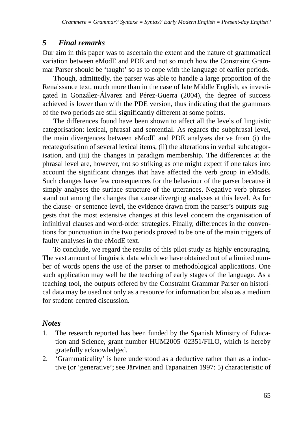## *5 Final remarks*

Our aim in this paper was to ascertain the extent and the nature of grammatical variation between eModE and PDE and not so much how the Constraint Grammar Parser should be 'taught' so as to cope with the language of earlier periods.

Though, admittedly, the parser was able to handle a large proportion of the Renaissance text, much more than in the case of late Middle English, as investigated in González-Álvarez and Pérez-Guerra (2004), the degree of success achieved is lower than with the PDE version, thus indicating that the grammars of the two periods are still significantly different at some points.

The differences found have been shown to affect all the levels of linguistic categorisation: lexical, phrasal and sentential. As regards the subphrasal level, the main divergences between eModE and PDE analyses derive from (i) the recategorisation of several lexical items, (ii) the alterations in verbal subcategorisation, and (iii) the changes in paradigm membership. The differences at the phrasal level are, however, not so striking as one might expect if one takes into account the significant changes that have affected the verb group in eModE. Such changes have few consequences for the behaviour of the parser because it simply analyses the surface structure of the utterances. Negative verb phrases stand out among the changes that cause diverging analyses at this level. As for the clause- or sentence-level, the evidence drawn from the parser's outputs suggests that the most extensive changes at this level concern the organisation of infinitival clauses and word-order strategies. Finally, differences in the conventions for punctuation in the two periods proved to be one of the main triggers of faulty analyses in the eModE text.

To conclude, we regard the results of this pilot study as highly encouraging. The vast amount of linguistic data which we have obtained out of a limited number of words opens the use of the parser to methodological applications. One such application may well be the teaching of early stages of the language. As a teaching tool, the outputs offered by the Constraint Grammar Parser on historical data may be used not only as a resource for information but also as a medium for student-centred discussion.

## *Notes*

- 1. The research reported has been funded by the Spanish Ministry of Education and Science, grant number HUM2005–02351/FILO, which is hereby gratefully acknowledged.
- 2. 'Grammaticality' is here understood as a deductive rather than as a inductive (or 'generative'; see Järvinen and Tapanainen 1997: 5) characteristic of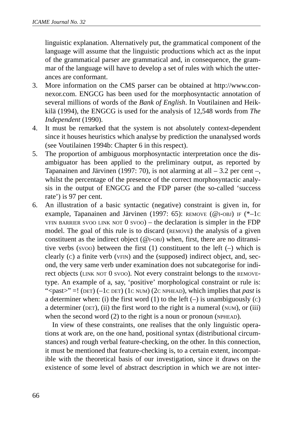linguistic explanation. Alternatively put, the grammatical component of the language will assume that the linguistic productions which act as the input of the grammatical parser are grammatical and, in consequence, the grammar of the language will have to develop a set of rules with which the utterances are conformant.

- 3. More information on the CMS parser can be obtained at http://www.connexor.com. ENGCG has been used for the morphosyntactic annotation of several millions of words of the *Bank of English*. In Voutilainen and Heikkilä (1994), the ENGCG is used for the analysis of 12,548 words from *The Independent* (1990).
- 4. It must be remarked that the system is not absolutely context-dependent since it houses heuristics which analyse by prediction the unanalysed words (see Voutilainen 1994b: Chapter 6 in this respect).
- 5. The proportion of ambiguous morphosyntactic interpretation once the disambiguator has been applied to the preliminary output, as reported by Tapanainen and Järvinen (1997: 70), is not alarming at all  $-3.2$  per cent –, whilst the percentage of the presence of the correct morphosyntactic analysis in the output of ENGCG and the FDP parser (the so-called 'success rate') is 97 per cent.
- 6. An illustration of a basic syntactic (negative) constraint is given in, for example, Tapanainen and Järvinen (1997: 65): REMOVE (@I-OBJ) IF (\*–1C VFIN BARRIER SVOO LINK NOT  $0$  svoo) – the declaration is simpler in the FDP model. The goal of this rule is to discard (REMOVE) the analysis of a given constituent as the indirect object ( $@$ I-OBJ) when, first, there are no ditransitive verbs (svoo) between the first  $(1)$  constituent to the left  $(-)$  which is clearly (C) a finite verb (VFIN) and the (supposed) indirect object, and, second, the very same verb under examination does not subcategorise for indirect objects (LINK NOT 0 SVOO). Not every constraint belongs to the REMOVEtype. An example of a, say, 'positive' morphological constraint or rule is: "<past>" =! (DET) (–1C DET) (1C NUM) (2C NPHEAD), which implies that *past* is a determiner when: (i) the first word  $(1)$  to the left  $(-)$  is unambiguously  $(c)$ a determiner (DET), (ii) the first word to the right is a numeral (NUM), or (iii) when the second word (2) to the right is a noun or pronoun (NPHEAD).

In view of these constraints, one realises that the only linguistic operations at work are, on the one hand, positional syntax (distributional circumstances) and rough verbal feature-checking, on the other. In this connection, it must be mentioned that feature-checking is, to a certain extent, incompatible with the theoretical basis of our investigation, since it draws on the existence of some level of abstract description in which we are not inter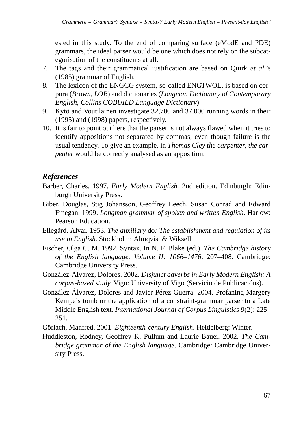ested in this study. To the end of comparing surface (eModE and PDE) grammars, the ideal parser would be one which does not rely on the subcategorisation of the constituents at all.

- 7. The tags and their grammatical justification are based on Quirk *et al*.'s (1985) grammar of English.
- 8. The lexicon of the ENGCG system, so-called ENGTWOL, is based on corpora (*Brown*, *LOB*) and dictionaries (*Longman Dictionary of Contemporary English*, *Collins COBUILD Language Dictionary*).
- 9. Kytö and Voutilainen investigate 32,700 and 37,000 running words in their (1995) and (1998) papers, respectively.
- 10. It is fair to point out here that the parser is not always flawed when it tries to identify appositions not separated by commas, even though failure is the usual tendency. To give an example, in *Thomas Cley the carpenter*, *the carpenter* would be correctly analysed as an apposition.

# *References*

- Barber, Charles. 1997. *Early Modern English.* 2nd edition. Edinburgh: Edinburgh University Press.
- Biber, Douglas, Stig Johansson, Geoffrey Leech, Susan Conrad and Edward Finegan. 1999. *Longman grammar of spoken and written English*. Harlow: Pearson Education.
- Ellegård, Alvar. 1953. *The auxiliary* do*: The establishment and regulation of its use in English*. Stockholm: Almqvist & Wiksell.
- Fischer, Olga C. M. 1992. Syntax. In N. F. Blake (ed.). *The Cambridge history of the English language. Volume II: 1066–1476,* 207–408. Cambridge: Cambridge University Press.
- González-Álvarez, Dolores. 2002. *Disjunct adverbs in Early Modern English: A corpus-based study*. Vigo: University of Vigo (Servicio de Publicacións).
- González-Álvarez, Dolores and Javier Pérez-Guerra. 2004. Profaning Margery Kempe's tomb or the application of a constraint-grammar parser to a Late Middle English text. *International Journal of Corpus Linguistics* 9(2): 225– 251.
- Görlach, Manfred. 2001. *Eighteenth-century English*. Heidelberg: Winter.
- Huddleston, Rodney, Geoffrey K. Pullum and Laurie Bauer. 2002. *The Cambridge grammar of the English language*. Cambridge: Cambridge University Press.